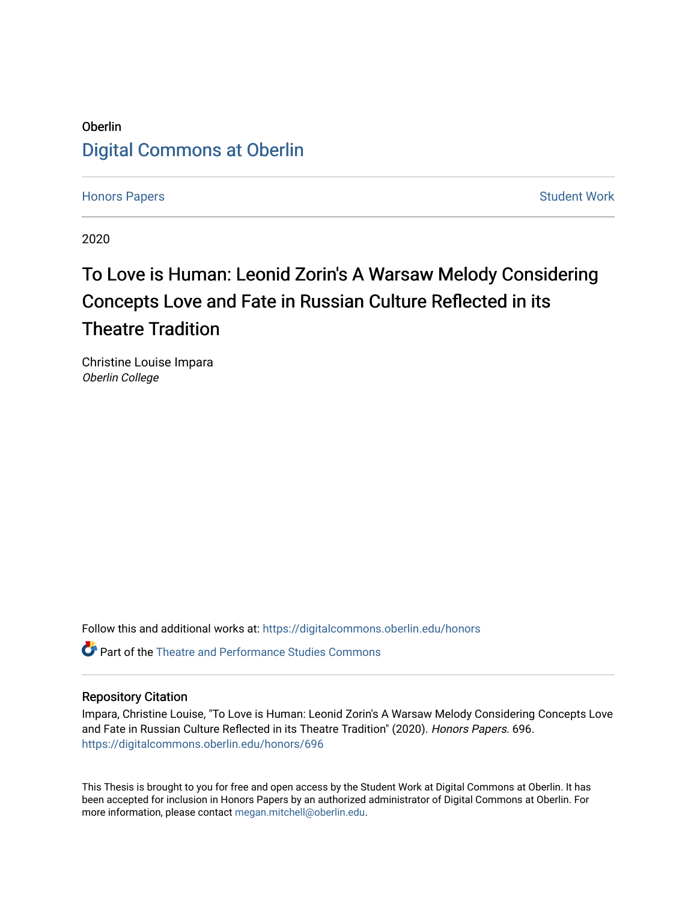## Oberlin [Digital Commons at Oberlin](https://digitalcommons.oberlin.edu/)

[Honors Papers](https://digitalcommons.oberlin.edu/honors) **Student Work** [Student Work](https://digitalcommons.oberlin.edu/students) **Student Work** Student Work **Student Work** 

2020

# To Love is Human: Leonid Zorin's A Warsaw Melody Considering Concepts Love and Fate in Russian Culture Reflected in its Theatre Tradition

Christine Louise Impara Oberlin College

Follow this and additional works at: [https://digitalcommons.oberlin.edu/honors](https://digitalcommons.oberlin.edu/honors?utm_source=digitalcommons.oberlin.edu%2Fhonors%2F696&utm_medium=PDF&utm_campaign=PDFCoverPages) 

 $\bullet$  Part of the Theatre and Performance Studies Commons

#### Repository Citation

Impara, Christine Louise, "To Love is Human: Leonid Zorin's A Warsaw Melody Considering Concepts Love and Fate in Russian Culture Reflected in its Theatre Tradition" (2020). Honors Papers. 696. [https://digitalcommons.oberlin.edu/honors/696](https://digitalcommons.oberlin.edu/honors/696?utm_source=digitalcommons.oberlin.edu%2Fhonors%2F696&utm_medium=PDF&utm_campaign=PDFCoverPages) 

This Thesis is brought to you for free and open access by the Student Work at Digital Commons at Oberlin. It has been accepted for inclusion in Honors Papers by an authorized administrator of Digital Commons at Oberlin. For more information, please contact [megan.mitchell@oberlin.edu.](mailto:megan.mitchell@oberlin.edu)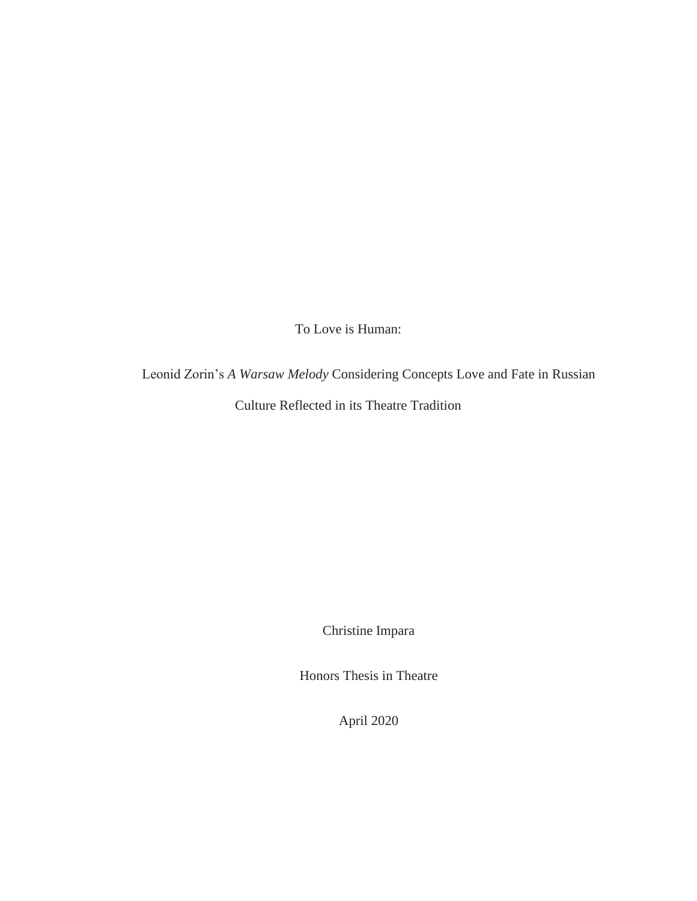To Love is Human:

Leonid Zorin's *A Warsaw Melody* Considering Concepts Love and Fate in Russian

Culture Reflected in its Theatre Tradition

Christine Impara

Honors Thesis in Theatre

April 2020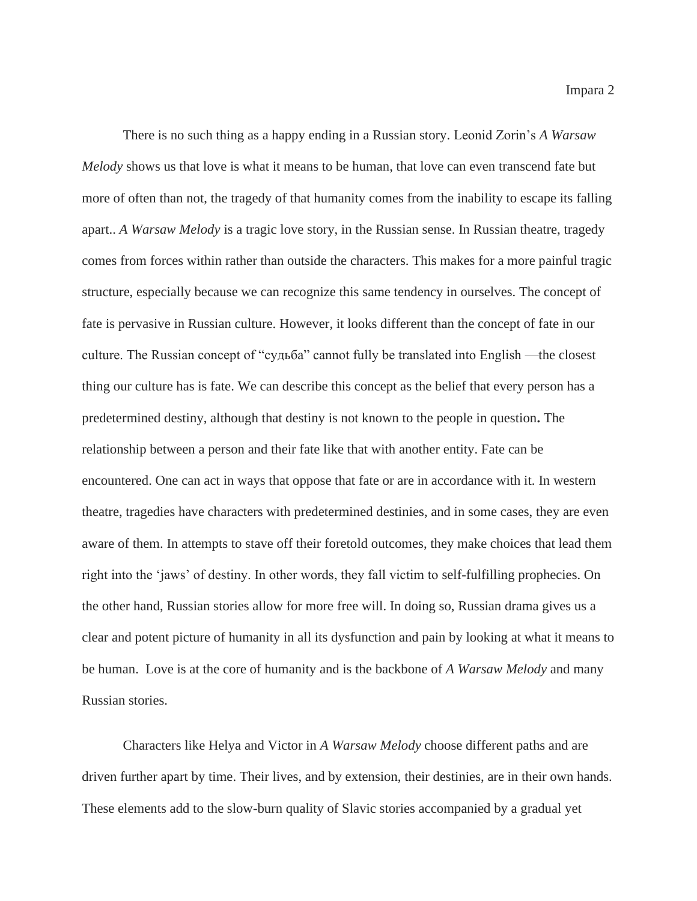There is no such thing as a happy ending in a Russian story. Leonid Zorin's *A Warsaw Melody* shows us that love is what it means to be human, that love can even transcend fate but more of often than not, the tragedy of that humanity comes from the inability to escape its falling apart.. *A Warsaw Melody* is a tragic love story, in the Russian sense. In Russian theatre, tragedy comes from forces within rather than outside the characters. This makes for a more painful tragic structure, especially because we can recognize this same tendency in ourselves. The concept of fate is pervasive in Russian culture. However, it looks different than the concept of fate in our culture. The Russian concept of "судьба" cannot fully be translated into English —the closest thing our culture has is fate. We can describe this concept as the belief that every person has a predetermined destiny, although that destiny is not known to the people in question**.** The relationship between a person and their fate like that with another entity. Fate can be encountered. One can act in ways that oppose that fate or are in accordance with it. In western theatre, tragedies have characters with predetermined destinies, and in some cases, they are even aware of them. In attempts to stave off their foretold outcomes, they make choices that lead them right into the 'jaws' of destiny. In other words, they fall victim to self-fulfilling prophecies. On the other hand, Russian stories allow for more free will. In doing so, Russian drama gives us a clear and potent picture of humanity in all its dysfunction and pain by looking at what it means to be human. Love is at the core of humanity and is the backbone of *A Warsaw Melody* and many Russian stories.

Characters like Helya and Victor in *A Warsaw Melody* choose different paths and are driven further apart by time. Their lives, and by extension, their destinies, are in their own hands. These elements add to the slow-burn quality of Slavic stories accompanied by a gradual yet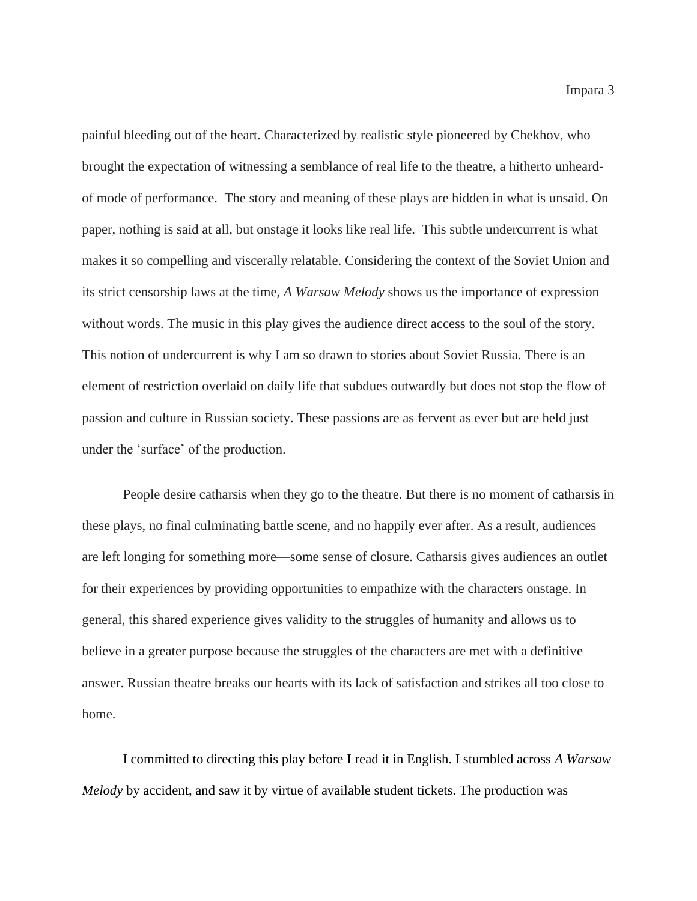painful bleeding out of the heart. Characterized by realistic style pioneered by Chekhov, who brought the expectation of witnessing a semblance of real life to the theatre, a hitherto unheardof mode of performance. The story and meaning of these plays are hidden in what is unsaid. On paper, nothing is said at all, but onstage it looks like real life. This subtle undercurrent is what makes it so compelling and viscerally relatable. Considering the context of the Soviet Union and its strict censorship laws at the time, *A Warsaw Melody* shows us the importance of expression without words. The music in this play gives the audience direct access to the soul of the story. This notion of undercurrent is why I am so drawn to stories about Soviet Russia. There is an element of restriction overlaid on daily life that subdues outwardly but does not stop the flow of passion and culture in Russian society. These passions are as fervent as ever but are held just under the 'surface' of the production.

People desire catharsis when they go to the theatre. But there is no moment of catharsis in these plays, no final culminating battle scene, and no happily ever after. As a result, audiences are left longing for something more—some sense of closure. Catharsis gives audiences an outlet for their experiences by providing opportunities to empathize with the characters onstage. In general, this shared experience gives validity to the struggles of humanity and allows us to believe in a greater purpose because the struggles of the characters are met with a definitive answer. Russian theatre breaks our hearts with its lack of satisfaction and strikes all too close to home.

I committed to directing this play before I read it in English. I stumbled across *A Warsaw Melody* by accident, and saw it by virtue of available student tickets. The production was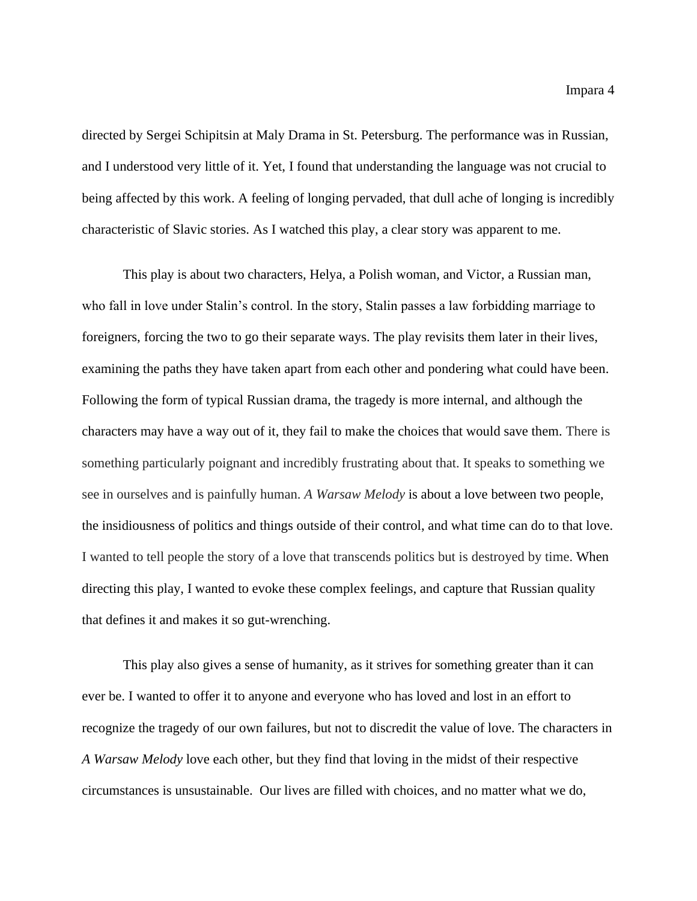directed by Sergei Schipitsin at Maly Drama in St. Petersburg. The performance was in Russian, and I understood very little of it. Yet, I found that understanding the language was not crucial to being affected by this work. A feeling of longing pervaded, that dull ache of longing is incredibly characteristic of Slavic stories. As I watched this play, a clear story was apparent to me.

This play is about two characters, Helya, a Polish woman, and Victor, a Russian man, who fall in love under Stalin's control. In the story, Stalin passes a law forbidding marriage to foreigners, forcing the two to go their separate ways. The play revisits them later in their lives, examining the paths they have taken apart from each other and pondering what could have been. Following the form of typical Russian drama, the tragedy is more internal, and although the characters may have a way out of it, they fail to make the choices that would save them. There is something particularly poignant and incredibly frustrating about that. It speaks to something we see in ourselves and is painfully human. *A Warsaw Melody* is about a love between two people, the insidiousness of politics and things outside of their control, and what time can do to that love. I wanted to tell people the story of a love that transcends politics but is destroyed by time. When directing this play, I wanted to evoke these complex feelings, and capture that Russian quality that defines it and makes it so gut-wrenching.

This play also gives a sense of humanity, as it strives for something greater than it can ever be. I wanted to offer it to anyone and everyone who has loved and lost in an effort to recognize the tragedy of our own failures, but not to discredit the value of love. The characters in *A Warsaw Melody* love each other, but they find that loving in the midst of their respective circumstances is unsustainable. Our lives are filled with choices, and no matter what we do,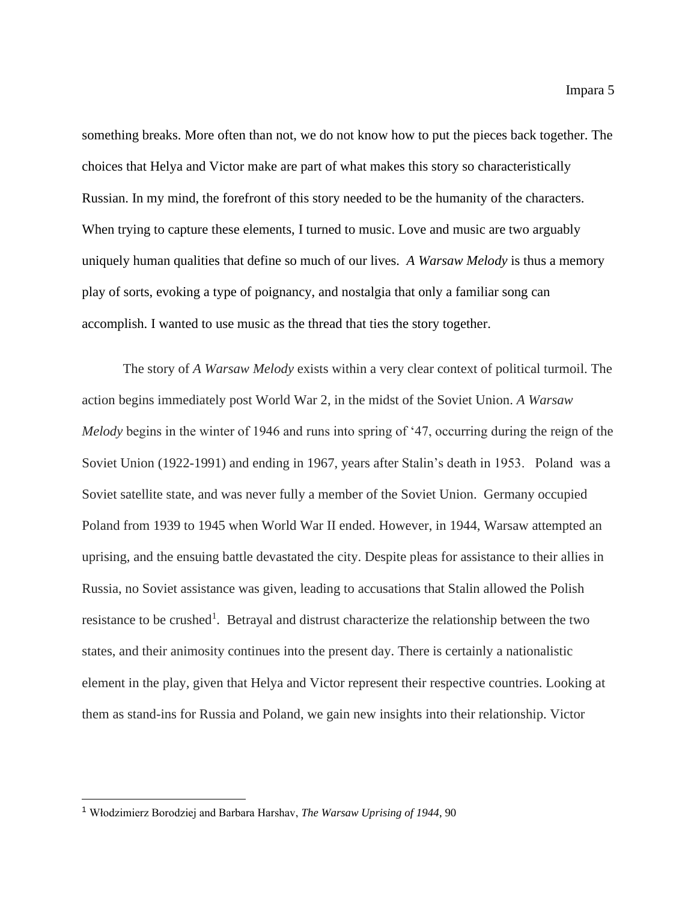something breaks. More often than not, we do not know how to put the pieces back together. The choices that Helya and Victor make are part of what makes this story so characteristically Russian. In my mind, the forefront of this story needed to be the humanity of the characters. When trying to capture these elements, I turned to music. Love and music are two arguably uniquely human qualities that define so much of our lives. *A Warsaw Melody* is thus a memory play of sorts, evoking a type of poignancy, and nostalgia that only a familiar song can accomplish. I wanted to use music as the thread that ties the story together.

The story of *A Warsaw Melody* exists within a very clear context of political turmoil. The action begins immediately post World War 2, in the midst of the Soviet Union. *A Warsaw Melody* begins in the winter of 1946 and runs into spring of '47, occurring during the reign of the Soviet Union (1922-1991) and ending in 1967, years after Stalin's death in 1953. Poland was a Soviet satellite state, and was never fully a member of the Soviet Union. Germany occupied Poland from 1939 to 1945 when World War II ended. However, in 1944, Warsaw attempted an uprising, and the ensuing battle devastated the city. Despite pleas for assistance to their allies in Russia, no Soviet assistance was given, leading to accusations that Stalin allowed the Polish resistance to be crushed<sup>1</sup>. Betrayal and distrust characterize the relationship between the two states, and their animosity continues into the present day. There is certainly a nationalistic element in the play, given that Helya and Victor represent their respective countries. Looking at them as stand-ins for Russia and Poland, we gain new insights into their relationship. Victor

<sup>1</sup> Włodzimierz Borodziej and Barbara Harshav, *The Warsaw Uprising of 1944*, 90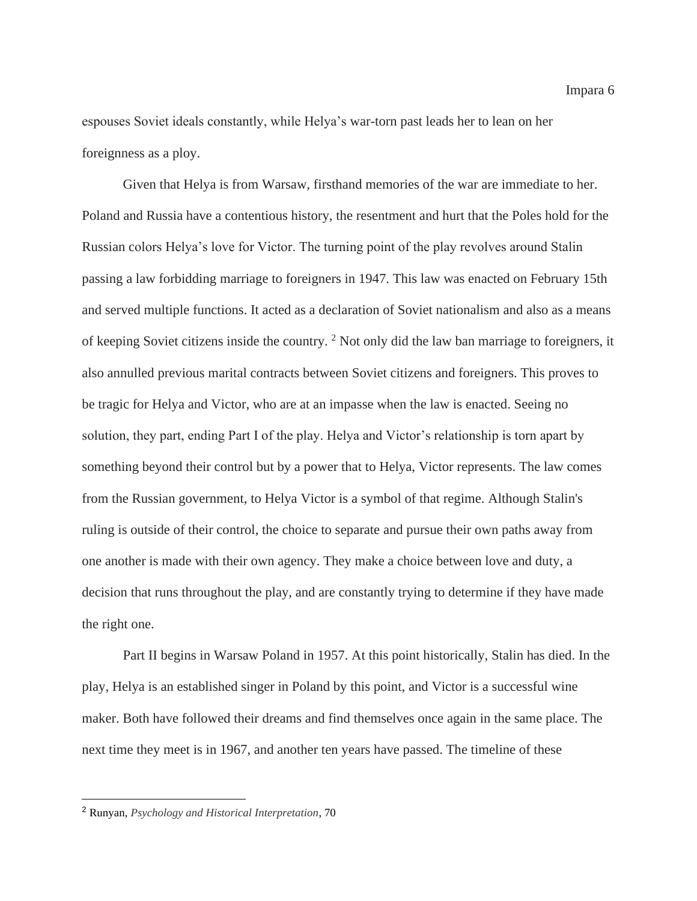espouses Soviet ideals constantly, while Helya's war-torn past leads her to lean on her foreignness as a ploy.

Given that Helya is from Warsaw, firsthand memories of the war are immediate to her. Poland and Russia have a contentious history, the resentment and hurt that the Poles hold for the Russian colors Helya's love for Victor. The turning point of the play revolves around Stalin passing a law forbidding marriage to foreigners in 1947. This law was enacted on February 15th and served multiple functions. It acted as a declaration of Soviet nationalism and also as a means of keeping Soviet citizens inside the country. <sup>2</sup> Not only did the law ban marriage to foreigners, it also annulled previous marital contracts between Soviet citizens and foreigners. This proves to be tragic for Helya and Victor, who are at an impasse when the law is enacted. Seeing no solution, they part, ending Part I of the play. Helya and Victor's relationship is torn apart by something beyond their control but by a power that to Helya, Victor represents. The law comes from the Russian government, to Helya Victor is a symbol of that regime. Although Stalin's ruling is outside of their control, the choice to separate and pursue their own paths away from one another is made with their own agency. They make a choice between love and duty, a decision that runs throughout the play, and are constantly trying to determine if they have made the right one.

Part II begins in Warsaw Poland in 1957. At this point historically, Stalin has died. In the play, Helya is an established singer in Poland by this point, and Victor is a successful wine maker. Both have followed their dreams and find themselves once again in the same place. The next time they meet is in 1967, and another ten years have passed. The timeline of these

<sup>2</sup> Runyan, *Psychology and Historical Interpretation*, 70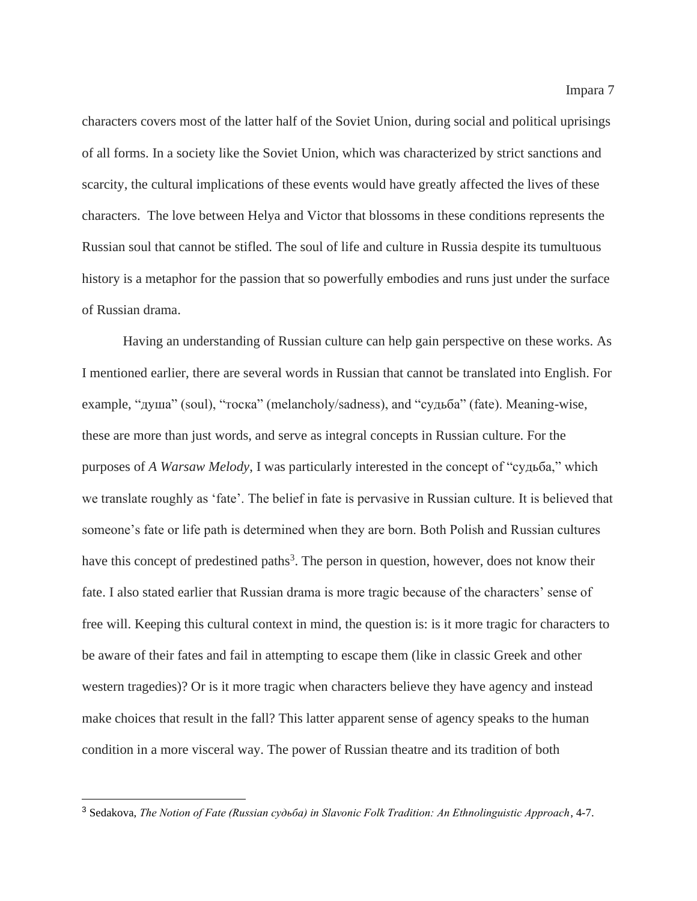characters covers most of the latter half of the Soviet Union, during social and political uprisings of all forms. In a society like the Soviet Union, which was characterized by strict sanctions and scarcity, the cultural implications of these events would have greatly affected the lives of these characters. The love between Helya and Victor that blossoms in these conditions represents the Russian soul that cannot be stifled. The soul of life and culture in Russia despite its tumultuous history is a metaphor for the passion that so powerfully embodies and runs just under the surface of Russian drama.

Having an understanding of Russian culture can help gain perspective on these works. As I mentioned earlier, there are several words in Russian that cannot be translated into English. For example, "душа" (soul), "тоска" (melancholy/sadness), and "судьба" (fate). Meaning-wise, these are more than just words, and serve as integral concepts in Russian culture. For the purposes of *A Warsaw Melody*, I was particularly interested in the concept of "судьба," which we translate roughly as 'fate'. The belief in fate is pervasive in Russian culture. It is believed that someone's fate or life path is determined when they are born. Both Polish and Russian cultures have this concept of predestined paths<sup>3</sup>. The person in question, however, does not know their fate. I also stated earlier that Russian drama is more tragic because of the characters' sense of free will. Keeping this cultural context in mind, the question is: is it more tragic for characters to be aware of their fates and fail in attempting to escape them (like in classic Greek and other western tragedies)? Or is it more tragic when characters believe they have agency and instead make choices that result in the fall? This latter apparent sense of agency speaks to the human condition in a more visceral way. The power of Russian theatre and its tradition of both

<sup>3</sup> Sedakova, *The Notion of Fate (Russian судьба) in Slavonic Folk Tradition: An Ethnolinguistic Approach*, 4-7.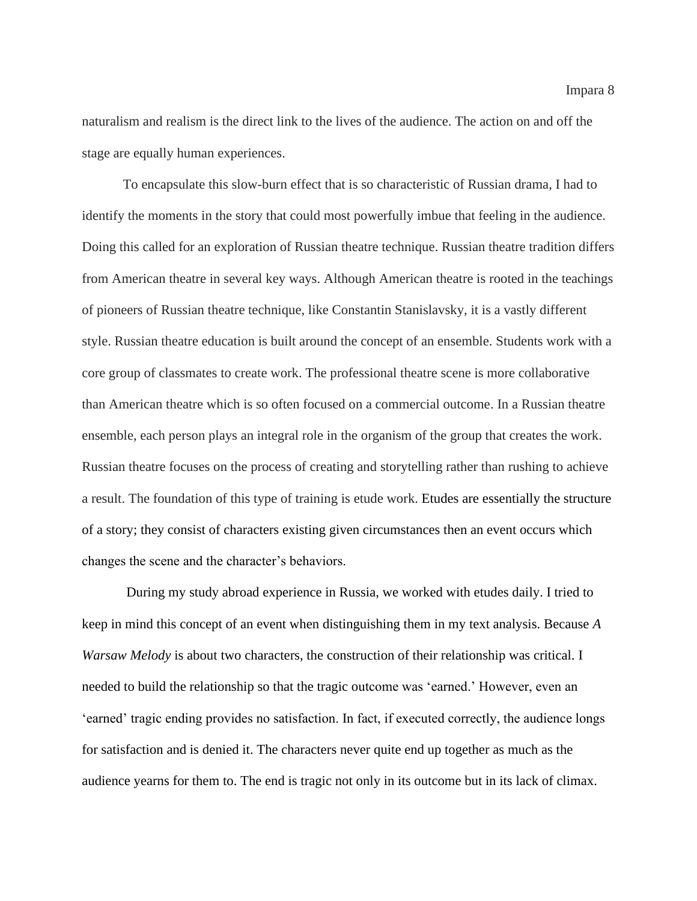naturalism and realism is the direct link to the lives of the audience. The action on and off the stage are equally human experiences.

To encapsulate this slow-burn effect that is so characteristic of Russian drama, I had to identify the moments in the story that could most powerfully imbue that feeling in the audience. Doing this called for an exploration of Russian theatre technique. Russian theatre tradition differs from American theatre in several key ways. Although American theatre is rooted in the teachings of pioneers of Russian theatre technique, like Constantin Stanislavsky, it is a vastly different style. Russian theatre education is built around the concept of an ensemble. Students work with a core group of classmates to create work. The professional theatre scene is more collaborative than American theatre which is so often focused on a commercial outcome. In a Russian theatre ensemble, each person plays an integral role in the organism of the group that creates the work. Russian theatre focuses on the process of creating and storytelling rather than rushing to achieve a result. The foundation of this type of training is etude work. Etudes are essentially the structure of a story; they consist of characters existing given circumstances then an event occurs which changes the scene and the character's behaviors.

During my study abroad experience in Russia, we worked with etudes daily. I tried to keep in mind this concept of an event when distinguishing them in my text analysis. Because *A Warsaw Melody* is about two characters, the construction of their relationship was critical. I needed to build the relationship so that the tragic outcome was 'earned.' However, even an 'earned' tragic ending provides no satisfaction. In fact, if executed correctly, the audience longs for satisfaction and is denied it. The characters never quite end up together as much as the audience yearns for them to. The end is tragic not only in its outcome but in its lack of climax.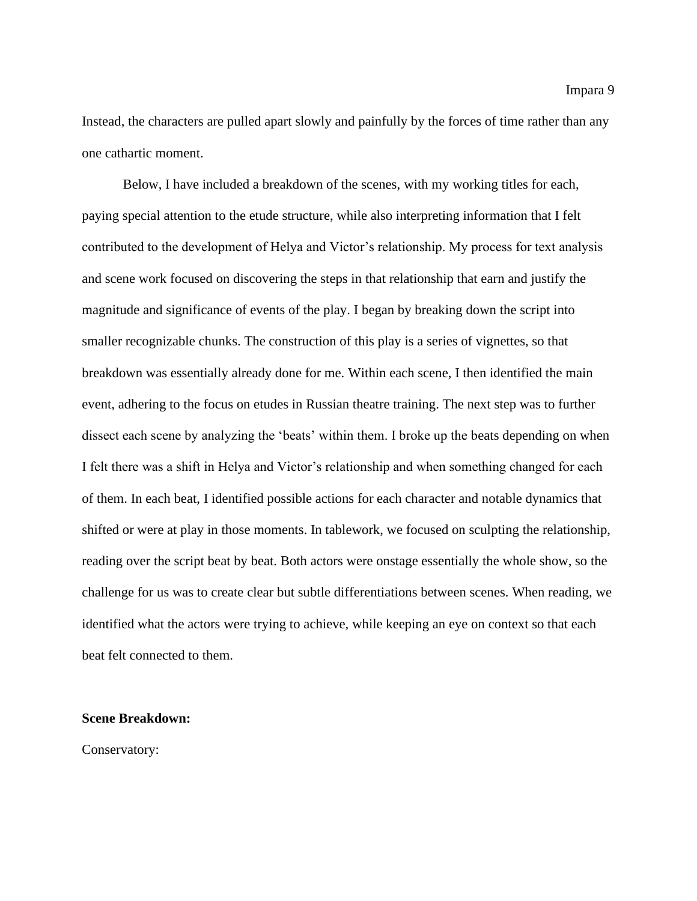Instead, the characters are pulled apart slowly and painfully by the forces of time rather than any one cathartic moment.

Below, I have included a breakdown of the scenes, with my working titles for each, paying special attention to the etude structure, while also interpreting information that I felt contributed to the development of Helya and Victor's relationship. My process for text analysis and scene work focused on discovering the steps in that relationship that earn and justify the magnitude and significance of events of the play. I began by breaking down the script into smaller recognizable chunks. The construction of this play is a series of vignettes, so that breakdown was essentially already done for me. Within each scene, I then identified the main event, adhering to the focus on etudes in Russian theatre training. The next step was to further dissect each scene by analyzing the 'beats' within them. I broke up the beats depending on when I felt there was a shift in Helya and Victor's relationship and when something changed for each of them. In each beat, I identified possible actions for each character and notable dynamics that shifted or were at play in those moments. In tablework, we focused on sculpting the relationship, reading over the script beat by beat. Both actors were onstage essentially the whole show, so the challenge for us was to create clear but subtle differentiations between scenes. When reading, we identified what the actors were trying to achieve, while keeping an eye on context so that each beat felt connected to them.

#### **Scene Breakdown:**

Conservatory: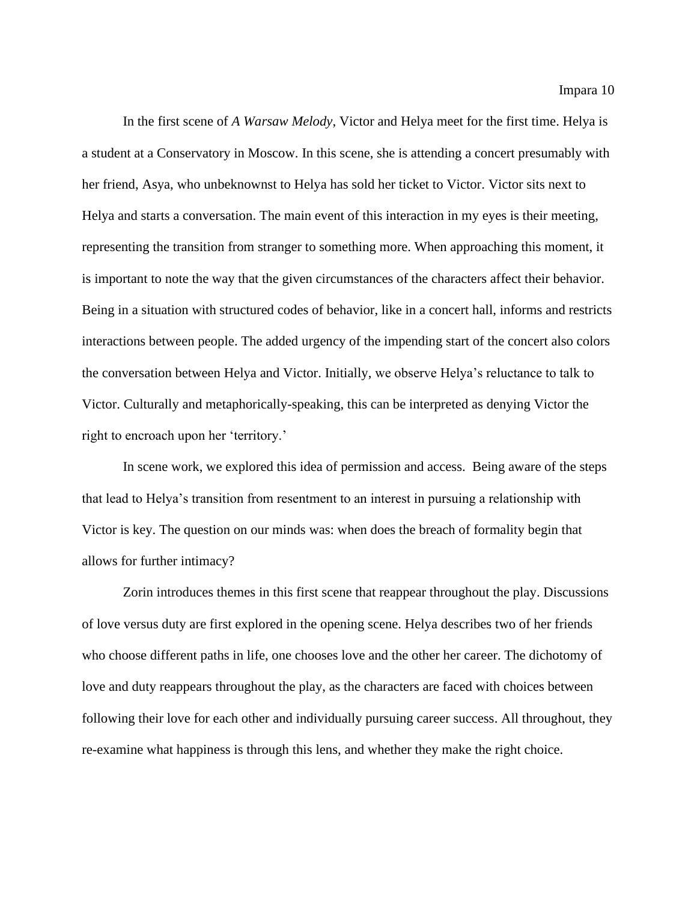In the first scene of *A Warsaw Melody*, Victor and Helya meet for the first time. Helya is a student at a Conservatory in Moscow. In this scene, she is attending a concert presumably with her friend, Asya, who unbeknownst to Helya has sold her ticket to Victor. Victor sits next to Helya and starts a conversation. The main event of this interaction in my eyes is their meeting, representing the transition from stranger to something more. When approaching this moment, it is important to note the way that the given circumstances of the characters affect their behavior. Being in a situation with structured codes of behavior, like in a concert hall, informs and restricts interactions between people. The added urgency of the impending start of the concert also colors the conversation between Helya and Victor. Initially, we observe Helya's reluctance to talk to Victor. Culturally and metaphorically-speaking, this can be interpreted as denying Victor the right to encroach upon her 'territory.'

In scene work, we explored this idea of permission and access. Being aware of the steps that lead to Helya's transition from resentment to an interest in pursuing a relationship with Victor is key. The question on our minds was: when does the breach of formality begin that allows for further intimacy?

Zorin introduces themes in this first scene that reappear throughout the play. Discussions of love versus duty are first explored in the opening scene. Helya describes two of her friends who choose different paths in life, one chooses love and the other her career. The dichotomy of love and duty reappears throughout the play, as the characters are faced with choices between following their love for each other and individually pursuing career success. All throughout, they re-examine what happiness is through this lens, and whether they make the right choice.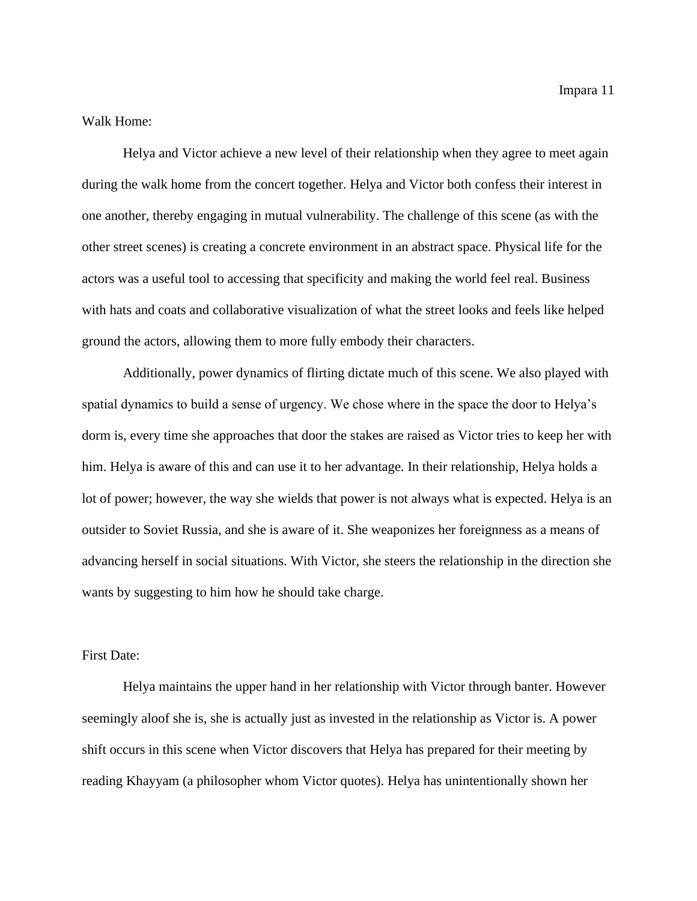Impara 11

Walk Home:

Helya and Victor achieve a new level of their relationship when they agree to meet again during the walk home from the concert together. Helya and Victor both confess their interest in one another, thereby engaging in mutual vulnerability. The challenge of this scene (as with the other street scenes) is creating a concrete environment in an abstract space. Physical life for the actors was a useful tool to accessing that specificity and making the world feel real. Business with hats and coats and collaborative visualization of what the street looks and feels like helped ground the actors, allowing them to more fully embody their characters.

Additionally, power dynamics of flirting dictate much of this scene. We also played with spatial dynamics to build a sense of urgency. We chose where in the space the door to Helya's dorm is, every time she approaches that door the stakes are raised as Victor tries to keep her with him. Helya is aware of this and can use it to her advantage. In their relationship, Helya holds a lot of power; however, the way she wields that power is not always what is expected. Helya is an outsider to Soviet Russia, and she is aware of it. She weaponizes her foreignness as a means of advancing herself in social situations. With Victor, she steers the relationship in the direction she wants by suggesting to him how he should take charge.

First Date:

Helya maintains the upper hand in her relationship with Victor through banter. However seemingly aloof she is, she is actually just as invested in the relationship as Victor is. A power shift occurs in this scene when Victor discovers that Helya has prepared for their meeting by reading Khayyam (a philosopher whom Victor quotes). Helya has unintentionally shown her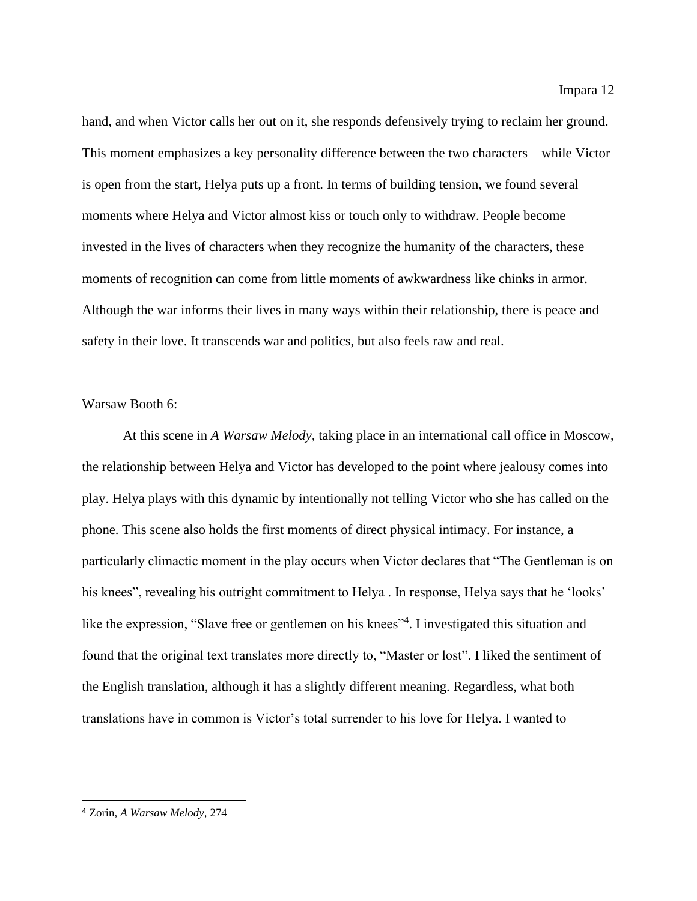hand, and when Victor calls her out on it, she responds defensively trying to reclaim her ground. This moment emphasizes a key personality difference between the two characters—while Victor is open from the start, Helya puts up a front. In terms of building tension, we found several moments where Helya and Victor almost kiss or touch only to withdraw. People become invested in the lives of characters when they recognize the humanity of the characters, these moments of recognition can come from little moments of awkwardness like chinks in armor. Although the war informs their lives in many ways within their relationship, there is peace and

## safety in their love. It transcends war and politics, but also feels raw and real.

#### Warsaw Booth 6:

At this scene in *A Warsaw Melody,* taking place in an international call office in Moscow, the relationship between Helya and Victor has developed to the point where jealousy comes into play. Helya plays with this dynamic by intentionally not telling Victor who she has called on the phone. This scene also holds the first moments of direct physical intimacy. For instance, a particularly climactic moment in the play occurs when Victor declares that "The Gentleman is on his knees", revealing his outright commitment to Helya . In response, Helya says that he 'looks' like the expression, "Slave free or gentlemen on his knees"<sup>4</sup>. I investigated this situation and found that the original text translates more directly to, "Master or lost". I liked the sentiment of the English translation, although it has a slightly different meaning. Regardless, what both translations have in common is Victor's total surrender to his love for Helya. I wanted to

<sup>4</sup> Zorin, *A Warsaw Melody,* 274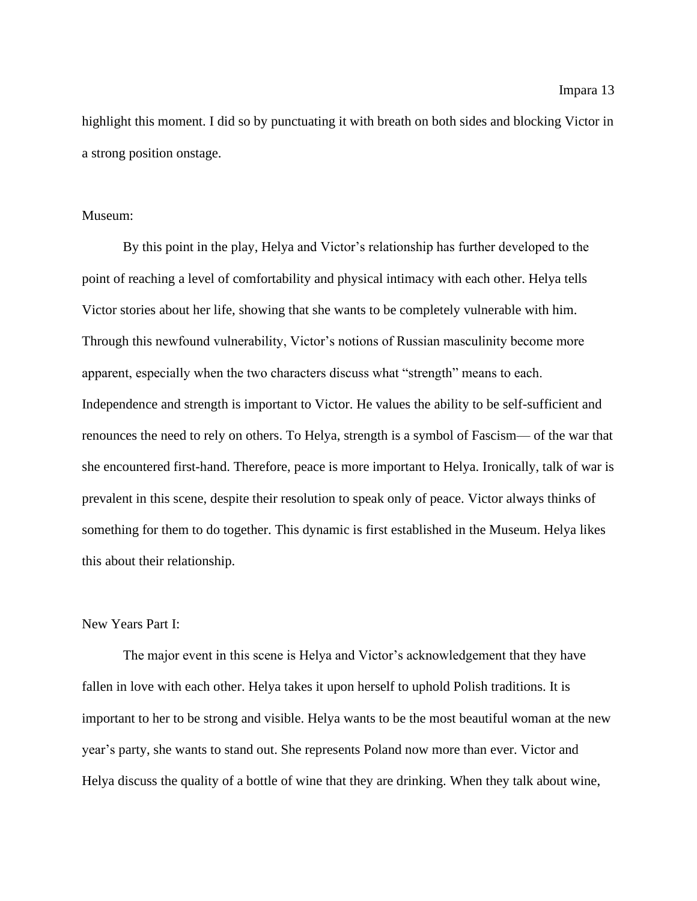highlight this moment. I did so by punctuating it with breath on both sides and blocking Victor in a strong position onstage.

#### Museum:

By this point in the play, Helya and Victor's relationship has further developed to the point of reaching a level of comfortability and physical intimacy with each other. Helya tells Victor stories about her life, showing that she wants to be completely vulnerable with him. Through this newfound vulnerability, Victor's notions of Russian masculinity become more apparent, especially when the two characters discuss what "strength" means to each. Independence and strength is important to Victor. He values the ability to be self-sufficient and renounces the need to rely on others. To Helya, strength is a symbol of Fascism— of the war that she encountered first-hand. Therefore, peace is more important to Helya. Ironically, talk of war is prevalent in this scene, despite their resolution to speak only of peace. Victor always thinks of something for them to do together. This dynamic is first established in the Museum. Helya likes this about their relationship.

#### New Years Part I:

The major event in this scene is Helya and Victor's acknowledgement that they have fallen in love with each other. Helya takes it upon herself to uphold Polish traditions. It is important to her to be strong and visible. Helya wants to be the most beautiful woman at the new year's party, she wants to stand out. She represents Poland now more than ever. Victor and Helya discuss the quality of a bottle of wine that they are drinking. When they talk about wine,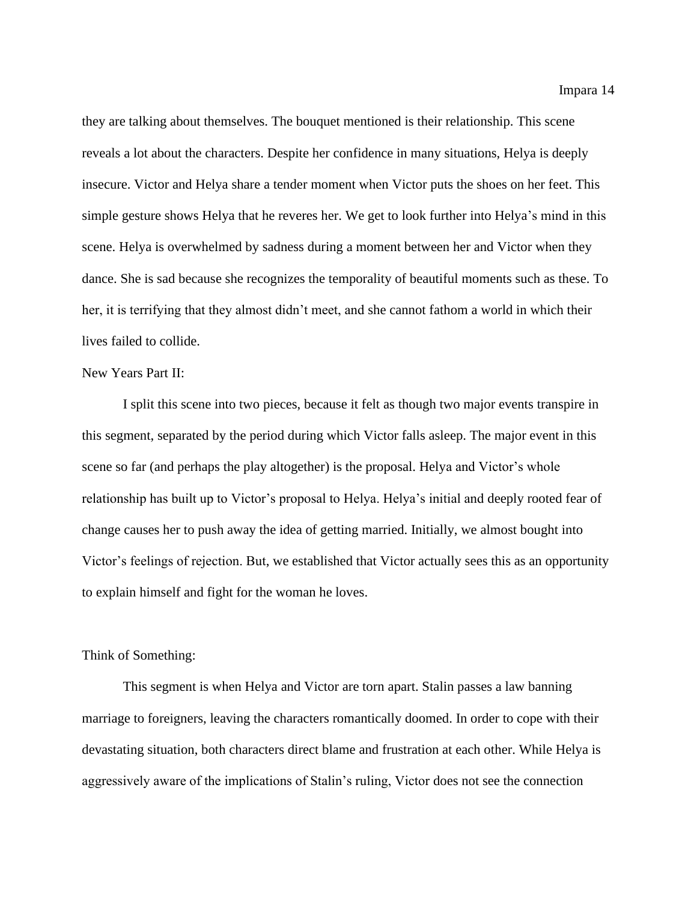they are talking about themselves. The bouquet mentioned is their relationship. This scene reveals a lot about the characters. Despite her confidence in many situations, Helya is deeply insecure. Victor and Helya share a tender moment when Victor puts the shoes on her feet. This simple gesture shows Helya that he reveres her. We get to look further into Helya's mind in this scene. Helya is overwhelmed by sadness during a moment between her and Victor when they dance. She is sad because she recognizes the temporality of beautiful moments such as these. To her, it is terrifying that they almost didn't meet, and she cannot fathom a world in which their lives failed to collide.

#### New Years Part II:

I split this scene into two pieces, because it felt as though two major events transpire in this segment, separated by the period during which Victor falls asleep. The major event in this scene so far (and perhaps the play altogether) is the proposal. Helya and Victor's whole relationship has built up to Victor's proposal to Helya. Helya's initial and deeply rooted fear of change causes her to push away the idea of getting married. Initially, we almost bought into Victor's feelings of rejection. But, we established that Victor actually sees this as an opportunity to explain himself and fight for the woman he loves.

#### Think of Something:

This segment is when Helya and Victor are torn apart. Stalin passes a law banning marriage to foreigners, leaving the characters romantically doomed. In order to cope with their devastating situation, both characters direct blame and frustration at each other. While Helya is aggressively aware of the implications of Stalin's ruling, Victor does not see the connection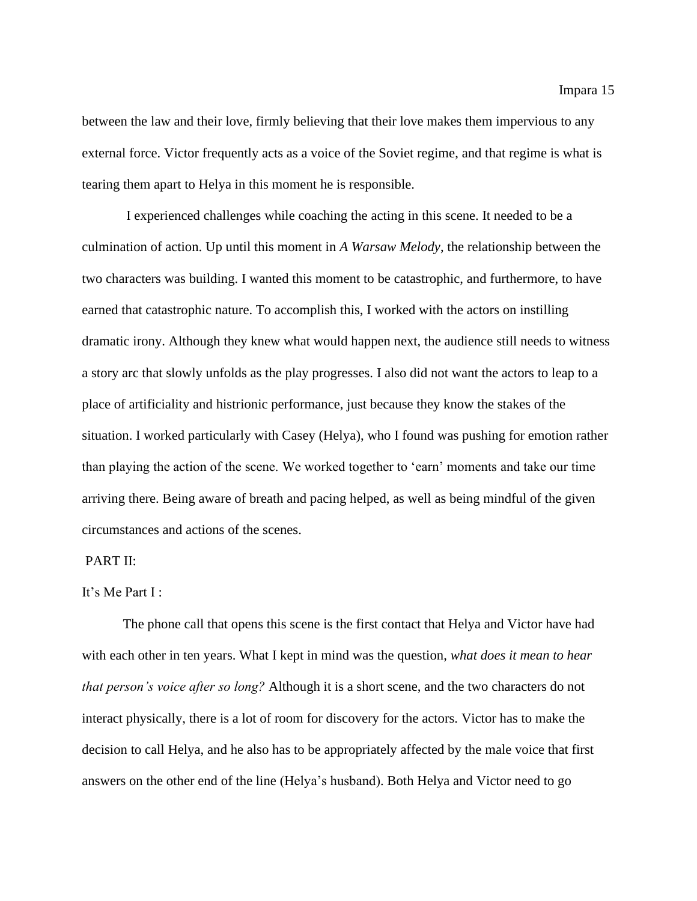between the law and their love, firmly believing that their love makes them impervious to any external force. Victor frequently acts as a voice of the Soviet regime, and that regime is what is tearing them apart to Helya in this moment he is responsible.

I experienced challenges while coaching the acting in this scene. It needed to be a culmination of action. Up until this moment in *A Warsaw Melody*, the relationship between the two characters was building. I wanted this moment to be catastrophic, and furthermore, to have earned that catastrophic nature. To accomplish this, I worked with the actors on instilling dramatic irony. Although they knew what would happen next, the audience still needs to witness a story arc that slowly unfolds as the play progresses. I also did not want the actors to leap to a place of artificiality and histrionic performance, just because they know the stakes of the situation. I worked particularly with Casey (Helya), who I found was pushing for emotion rather than playing the action of the scene. We worked together to 'earn' moments and take our time arriving there. Being aware of breath and pacing helped, as well as being mindful of the given circumstances and actions of the scenes.

#### PART II:

#### It's Me Part I :

The phone call that opens this scene is the first contact that Helya and Victor have had with each other in ten years. What I kept in mind was the question, *what does it mean to hear that person's voice after so long?* Although it is a short scene, and the two characters do not interact physically, there is a lot of room for discovery for the actors. Victor has to make the decision to call Helya, and he also has to be appropriately affected by the male voice that first answers on the other end of the line (Helya's husband). Both Helya and Victor need to go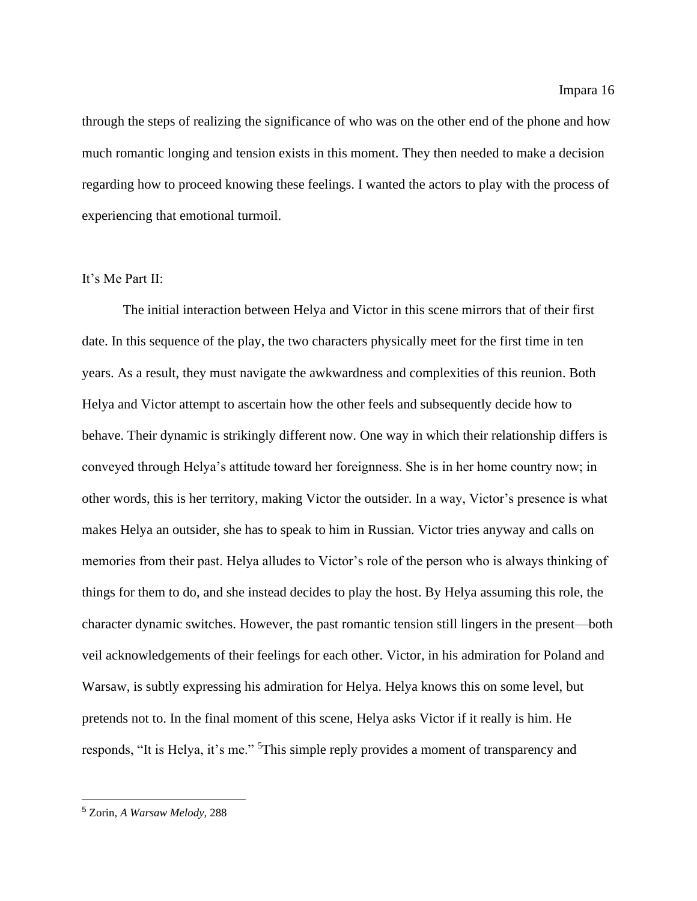through the steps of realizing the significance of who was on the other end of the phone and how much romantic longing and tension exists in this moment. They then needed to make a decision regarding how to proceed knowing these feelings. I wanted the actors to play with the process of experiencing that emotional turmoil.

#### It's Me Part II:

The initial interaction between Helya and Victor in this scene mirrors that of their first date. In this sequence of the play, the two characters physically meet for the first time in ten years. As a result, they must navigate the awkwardness and complexities of this reunion. Both Helya and Victor attempt to ascertain how the other feels and subsequently decide how to behave. Their dynamic is strikingly different now. One way in which their relationship differs is conveyed through Helya's attitude toward her foreignness. She is in her home country now; in other words, this is her territory, making Victor the outsider. In a way, Victor's presence is what makes Helya an outsider, she has to speak to him in Russian. Victor tries anyway and calls on memories from their past. Helya alludes to Victor's role of the person who is always thinking of things for them to do, and she instead decides to play the host. By Helya assuming this role, the character dynamic switches. However, the past romantic tension still lingers in the present—both veil acknowledgements of their feelings for each other. Victor, in his admiration for Poland and Warsaw, is subtly expressing his admiration for Helya. Helya knows this on some level, but pretends not to. In the final moment of this scene, Helya asks Victor if it really is him. He responds, "It is Helya, it's me." <sup>5</sup>This simple reply provides a moment of transparency and

<sup>5</sup> Zorin, *A Warsaw Melody,* 288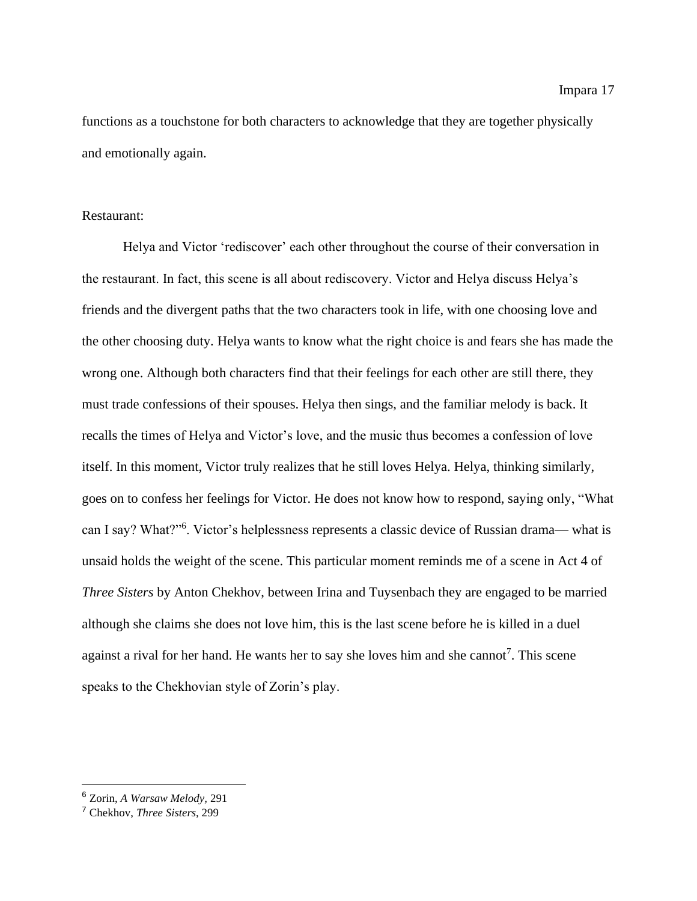functions as a touchstone for both characters to acknowledge that they are together physically and emotionally again.

#### Restaurant:

Helya and Victor 'rediscover' each other throughout the course of their conversation in the restaurant. In fact, this scene is all about rediscovery. Victor and Helya discuss Helya's friends and the divergent paths that the two characters took in life, with one choosing love and the other choosing duty. Helya wants to know what the right choice is and fears she has made the wrong one. Although both characters find that their feelings for each other are still there, they must trade confessions of their spouses. Helya then sings, and the familiar melody is back. It recalls the times of Helya and Victor's love, and the music thus becomes a confession of love itself. In this moment, Victor truly realizes that he still loves Helya. Helya, thinking similarly, goes on to confess her feelings for Victor. He does not know how to respond, saying only, "What can I say? What?"<sup>6</sup> . Victor's helplessness represents a classic device of Russian drama— what is unsaid holds the weight of the scene. This particular moment reminds me of a scene in Act 4 of *Three Sisters* by Anton Chekhov, between Irina and Tuysenbach they are engaged to be married although she claims she does not love him, this is the last scene before he is killed in a duel against a rival for her hand. He wants her to say she loves him and she cannot<sup>7</sup>. This scene speaks to the Chekhovian style of Zorin's play.

<sup>6</sup> Zorin, *A Warsaw Melody,* 291

<sup>7</sup> Chekhov, *Three Sisters*, 299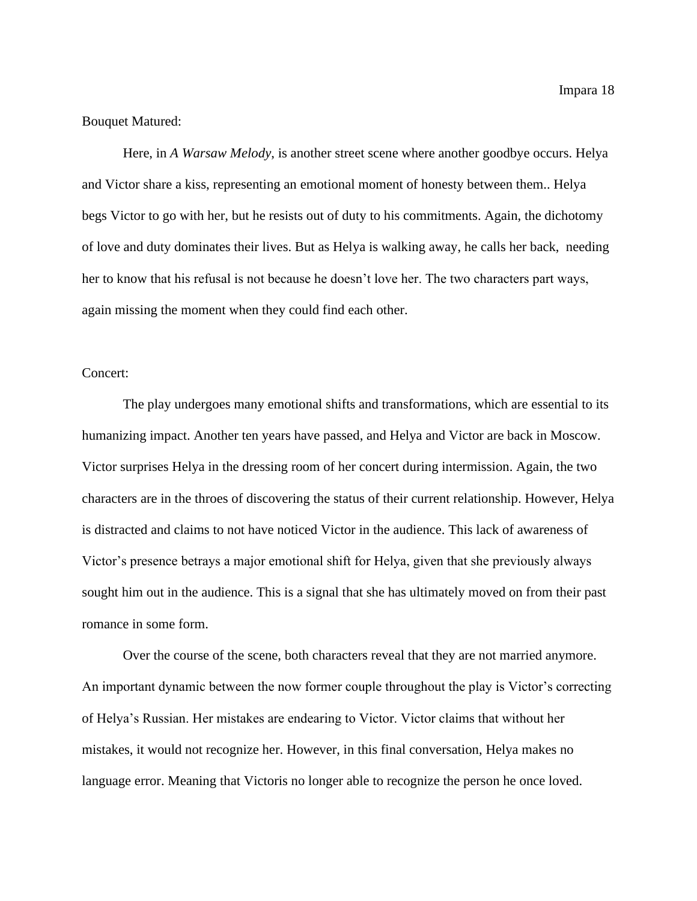Bouquet Matured:

Here, in *A Warsaw Melody*, is another street scene where another goodbye occurs. Helya and Victor share a kiss, representing an emotional moment of honesty between them.. Helya begs Victor to go with her, but he resists out of duty to his commitments. Again, the dichotomy of love and duty dominates their lives. But as Helya is walking away, he calls her back, needing her to know that his refusal is not because he doesn't love her. The two characters part ways, again missing the moment when they could find each other.

#### Concert:

The play undergoes many emotional shifts and transformations, which are essential to its humanizing impact. Another ten years have passed, and Helya and Victor are back in Moscow. Victor surprises Helya in the dressing room of her concert during intermission. Again, the two characters are in the throes of discovering the status of their current relationship. However, Helya is distracted and claims to not have noticed Victor in the audience. This lack of awareness of Victor's presence betrays a major emotional shift for Helya, given that she previously always sought him out in the audience. This is a signal that she has ultimately moved on from their past romance in some form.

Over the course of the scene, both characters reveal that they are not married anymore. An important dynamic between the now former couple throughout the play is Victor's correcting of Helya's Russian. Her mistakes are endearing to Victor. Victor claims that without her mistakes, it would not recognize her. However, in this final conversation, Helya makes no language error. Meaning that Victoris no longer able to recognize the person he once loved.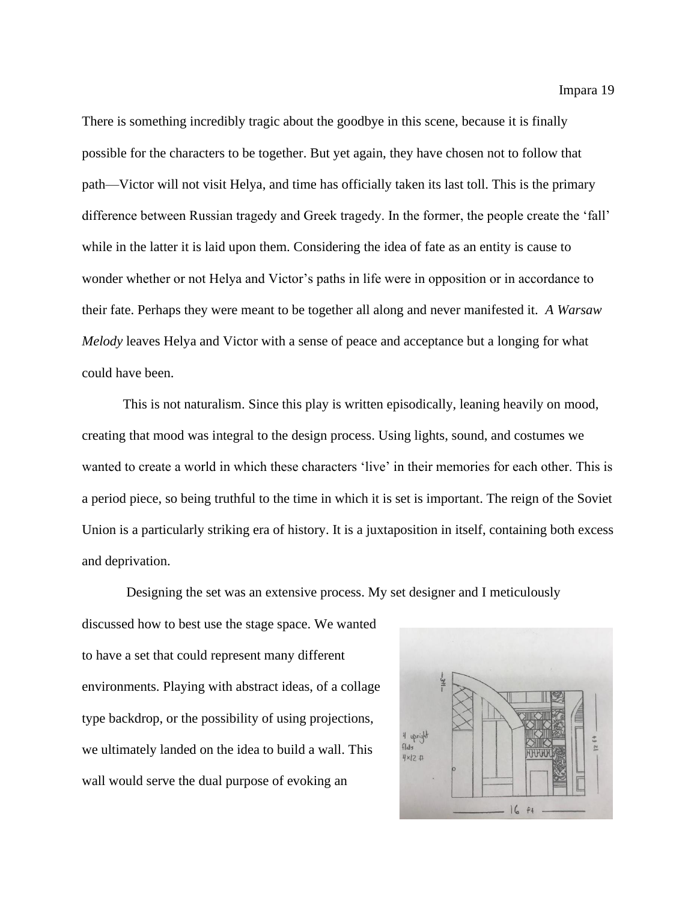There is something incredibly tragic about the goodbye in this scene, because it is finally possible for the characters to be together. But yet again, they have chosen not to follow that path—Victor will not visit Helya, and time has officially taken its last toll. This is the primary difference between Russian tragedy and Greek tragedy. In the former, the people create the 'fall' while in the latter it is laid upon them. Considering the idea of fate as an entity is cause to wonder whether or not Helya and Victor's paths in life were in opposition or in accordance to their fate. Perhaps they were meant to be together all along and never manifested it. *A Warsaw Melody* leaves Helya and Victor with a sense of peace and acceptance but a longing for what could have been.

This is not naturalism. Since this play is written episodically, leaning heavily on mood, creating that mood was integral to the design process. Using lights, sound, and costumes we wanted to create a world in which these characters 'live' in their memories for each other. This is a period piece, so being truthful to the time in which it is set is important. The reign of the Soviet Union is a particularly striking era of history. It is a juxtaposition in itself, containing both excess and deprivation.

Designing the set was an extensive process. My set designer and I meticulously discussed how to best use the stage space. We wanted to have a set that could represent many different environments. Playing with abstract ideas, of a collage type backdrop, or the possibility of using projections, we ultimately landed on the idea to build a wall. This wall would serve the dual purpose of evoking an

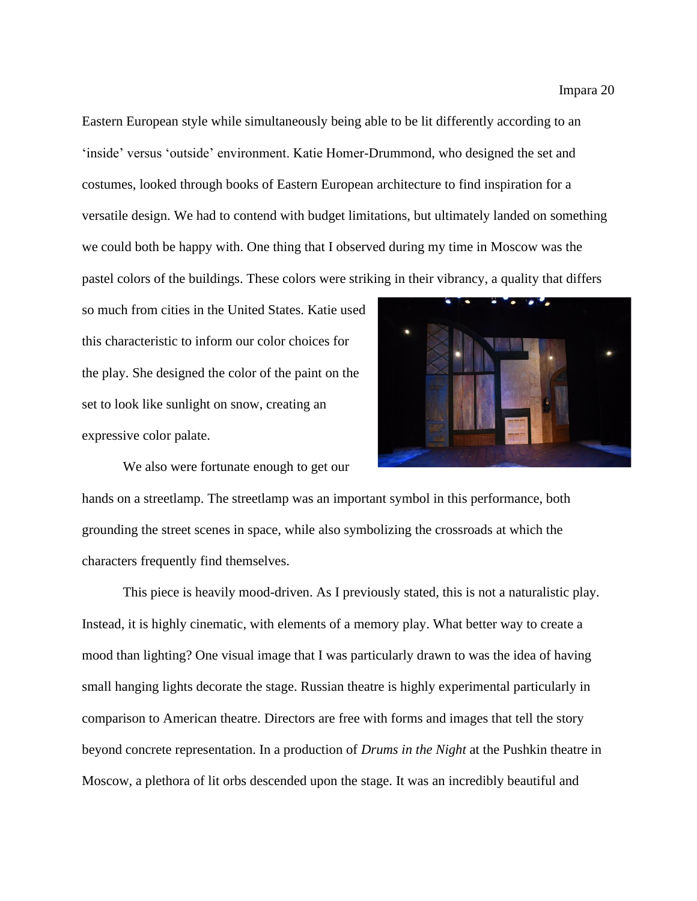Eastern European style while simultaneously being able to be lit differently according to an 'inside' versus 'outside' environment. Katie Homer-Drummond, who designed the set and costumes, looked through books of Eastern European architecture to find inspiration for a versatile design. We had to contend with budget limitations, but ultimately landed on something we could both be happy with. One thing that I observed during my time in Moscow was the pastel colors of the buildings. These colors were striking in their vibrancy, a quality that differs

so much from cities in the United States. Katie used this characteristic to inform our color choices for the play. She designed the color of the paint on the set to look like sunlight on snow, creating an expressive color palate.

We also were fortunate enough to get our



hands on a streetlamp. The streetlamp was an important symbol in this performance, both grounding the street scenes in space, while also symbolizing the crossroads at which the characters frequently find themselves.

This piece is heavily mood-driven. As I previously stated, this is not a naturalistic play. Instead, it is highly cinematic, with elements of a memory play. What better way to create a mood than lighting? One visual image that I was particularly drawn to was the idea of having small hanging lights decorate the stage. Russian theatre is highly experimental particularly in comparison to American theatre. Directors are free with forms and images that tell the story beyond concrete representation. In a production of *Drums in the Night* at the Pushkin theatre in Moscow, a plethora of lit orbs descended upon the stage. It was an incredibly beautiful and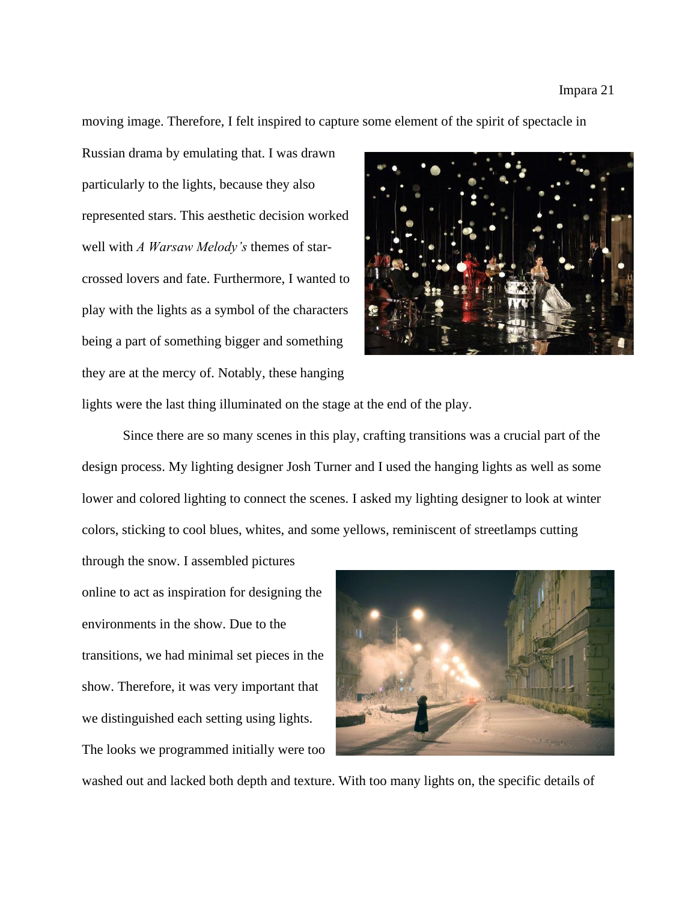#### Impara 21

moving image. Therefore, I felt inspired to capture some element of the spirit of spectacle in

Russian drama by emulating that. I was drawn particularly to the lights, because they also represented stars. This aesthetic decision worked well with *A Warsaw Melody's* themes of starcrossed lovers and fate. Furthermore, I wanted to play with the lights as a symbol of the characters being a part of something bigger and something they are at the mercy of. Notably, these hanging



lights were the last thing illuminated on the stage at the end of the play.

Since there are so many scenes in this play, crafting transitions was a crucial part of the design process. My lighting designer Josh Turner and I used the hanging lights as well as some lower and colored lighting to connect the scenes. I asked my lighting designer to look at winter colors, sticking to cool blues, whites, and some yellows, reminiscent of streetlamps cutting

through the snow. I assembled pictures online to act as inspiration for designing the environments in the show. Due to the transitions, we had minimal set pieces in the show. Therefore, it was very important that we distinguished each setting using lights. The looks we programmed initially were too



washed out and lacked both depth and texture. With too many lights on, the specific details of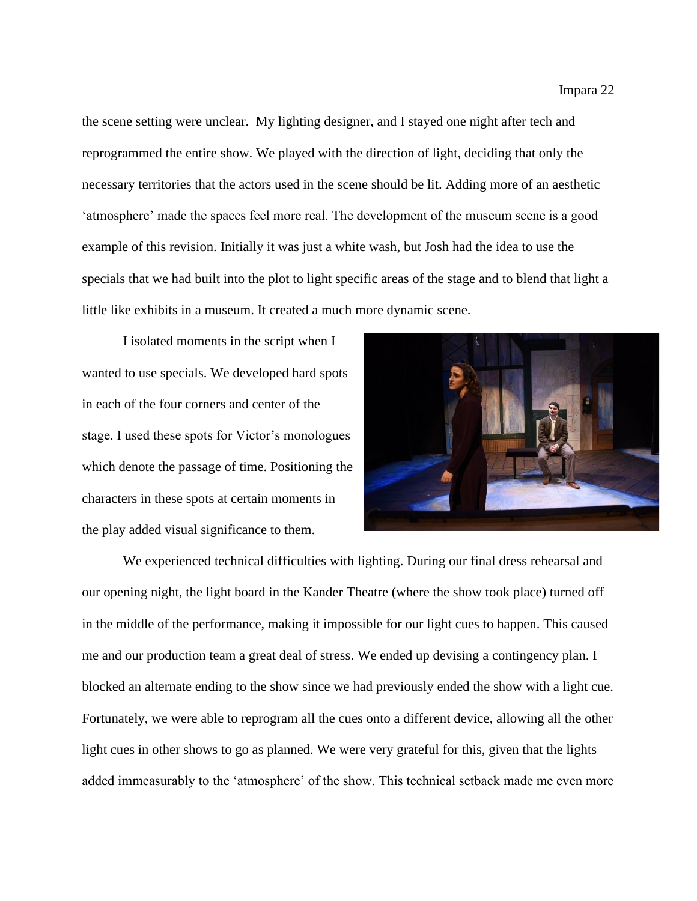the scene setting were unclear. My lighting designer, and I stayed one night after tech and reprogrammed the entire show. We played with the direction of light, deciding that only the necessary territories that the actors used in the scene should be lit. Adding more of an aesthetic 'atmosphere' made the spaces feel more real. The development of the museum scene is a good example of this revision. Initially it was just a white wash, but Josh had the idea to use the specials that we had built into the plot to light specific areas of the stage and to blend that light a little like exhibits in a museum. It created a much more dynamic scene.

I isolated moments in the script when I wanted to use specials. We developed hard spots in each of the four corners and center of the stage. I used these spots for Victor's monologues which denote the passage of time. Positioning the characters in these spots at certain moments in the play added visual significance to them.



We experienced technical difficulties with lighting. During our final dress rehearsal and our opening night, the light board in the Kander Theatre (where the show took place) turned off in the middle of the performance, making it impossible for our light cues to happen. This caused me and our production team a great deal of stress. We ended up devising a contingency plan. I blocked an alternate ending to the show since we had previously ended the show with a light cue. Fortunately, we were able to reprogram all the cues onto a different device, allowing all the other light cues in other shows to go as planned. We were very grateful for this, given that the lights added immeasurably to the 'atmosphere' of the show. This technical setback made me even more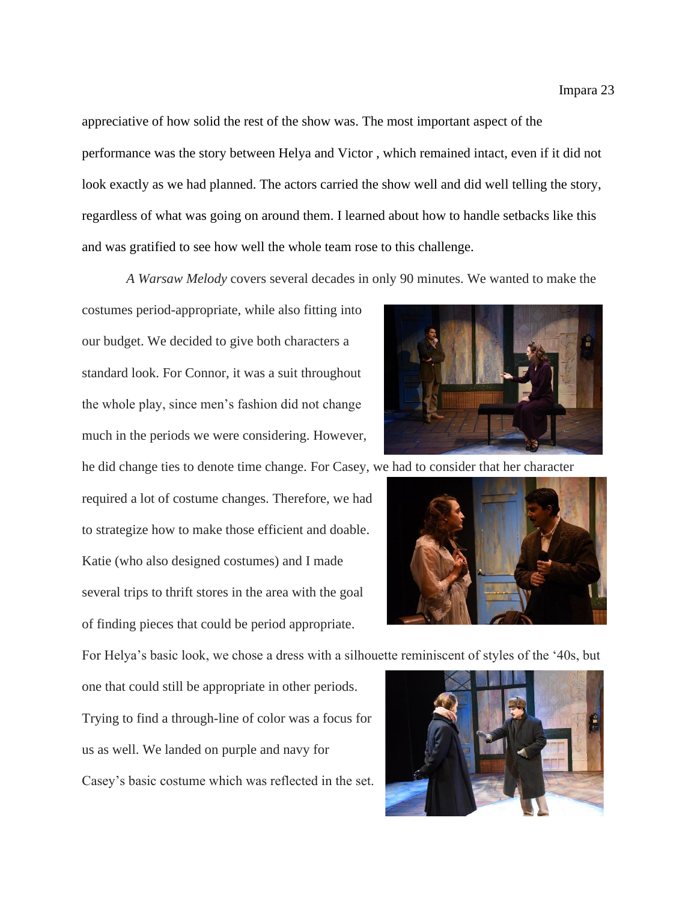appreciative of how solid the rest of the show was. The most important aspect of the performance was the story between Helya and Victor , which remained intact, even if it did not look exactly as we had planned. The actors carried the show well and did well telling the story, regardless of what was going on around them. I learned about how to handle setbacks like this and was gratified to see how well the whole team rose to this challenge.

*A Warsaw Melody* covers several decades in only 90 minutes. We wanted to make the

costumes period-appropriate, while also fitting into our budget. We decided to give both characters a standard look. For Connor, it was a suit throughout the whole play, since men's fashion did not change much in the periods we were considering. However,

he did change ties to denote time change. For Casey, we had to consider that her character

required a lot of costume changes. Therefore, we had to strategize how to make those efficient and doable. Katie (who also designed costumes) and I made several trips to thrift stores in the area with the goal of finding pieces that could be period appropriate.

For Helya's basic look, we chose a dress with a silhouette reminiscent of styles of the '40s, but

one that could still be appropriate in other periods. Trying to find a through-line of color was a focus for us as well. We landed on purple and navy for Casey's basic costume which was reflected in the set.



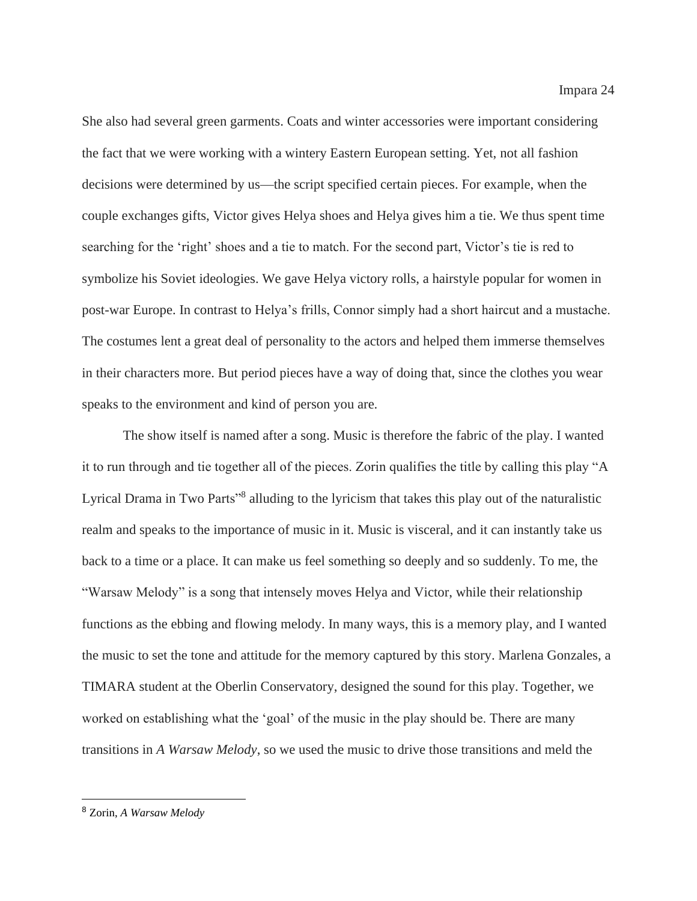She also had several green garments. Coats and winter accessories were important considering the fact that we were working with a wintery Eastern European setting. Yet, not all fashion decisions were determined by us—the script specified certain pieces. For example, when the couple exchanges gifts, Victor gives Helya shoes and Helya gives him a tie. We thus spent time searching for the 'right' shoes and a tie to match. For the second part, Victor's tie is red to symbolize his Soviet ideologies. We gave Helya victory rolls, a hairstyle popular for women in post-war Europe. In contrast to Helya's frills, Connor simply had a short haircut and a mustache. The costumes lent a great deal of personality to the actors and helped them immerse themselves in their characters more. But period pieces have a way of doing that, since the clothes you wear speaks to the environment and kind of person you are.

The show itself is named after a song. Music is therefore the fabric of the play. I wanted it to run through and tie together all of the pieces. Zorin qualifies the title by calling this play "A Lyrical Drama in Two Parts<sup>18</sup> alluding to the lyricism that takes this play out of the naturalistic realm and speaks to the importance of music in it. Music is visceral, and it can instantly take us back to a time or a place. It can make us feel something so deeply and so suddenly. To me, the "Warsaw Melody" is a song that intensely moves Helya and Victor, while their relationship functions as the ebbing and flowing melody. In many ways, this is a memory play, and I wanted the music to set the tone and attitude for the memory captured by this story. Marlena Gonzales, a TIMARA student at the Oberlin Conservatory, designed the sound for this play. Together, we worked on establishing what the 'goal' of the music in the play should be. There are many transitions in *A Warsaw Melody*, so we used the music to drive those transitions and meld the

<sup>8</sup> Zorin, *A Warsaw Melody*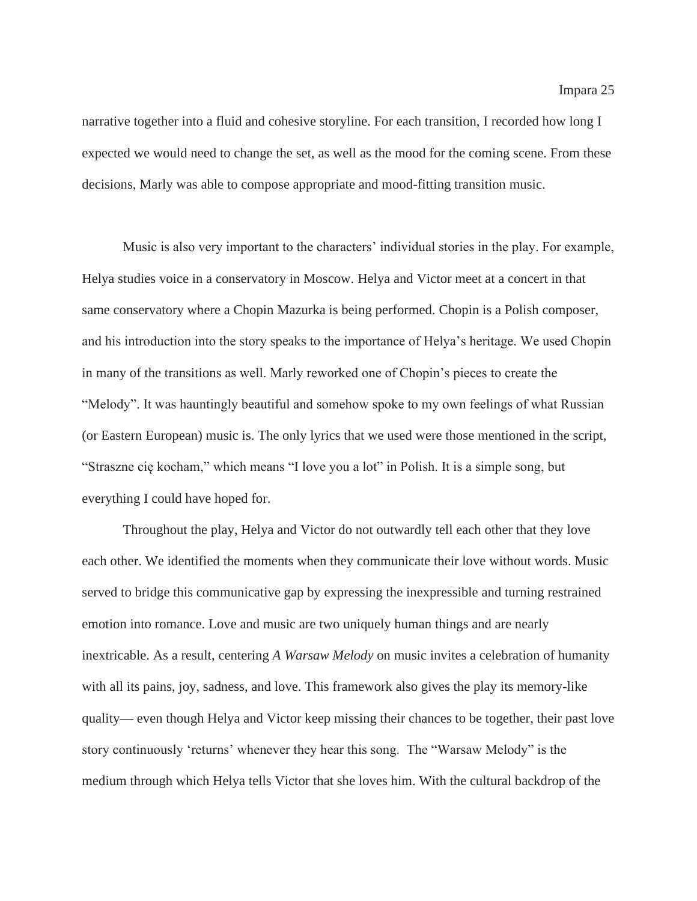narrative together into a fluid and cohesive storyline. For each transition, I recorded how long I expected we would need to change the set, as well as the mood for the coming scene. From these decisions, Marly was able to compose appropriate and mood-fitting transition music.

Music is also very important to the characters' individual stories in the play. For example, Helya studies voice in a conservatory in Moscow. Helya and Victor meet at a concert in that same conservatory where a Chopin Mazurka is being performed. Chopin is a Polish composer, and his introduction into the story speaks to the importance of Helya's heritage. We used Chopin in many of the transitions as well. Marly reworked one of Chopin's pieces to create the "Melody". It was hauntingly beautiful and somehow spoke to my own feelings of what Russian (or Eastern European) music is. The only lyrics that we used were those mentioned in the script, "Straszne cię kocham," which means "I love you a lot" in Polish. It is a simple song, but everything I could have hoped for.

Throughout the play, Helya and Victor do not outwardly tell each other that they love each other. We identified the moments when they communicate their love without words. Music served to bridge this communicative gap by expressing the inexpressible and turning restrained emotion into romance. Love and music are two uniquely human things and are nearly inextricable. As a result, centering *A Warsaw Melody* on music invites a celebration of humanity with all its pains, joy, sadness, and love. This framework also gives the play its memory-like quality— even though Helya and Victor keep missing their chances to be together, their past love story continuously 'returns' whenever they hear this song. The "Warsaw Melody" is the medium through which Helya tells Victor that she loves him. With the cultural backdrop of the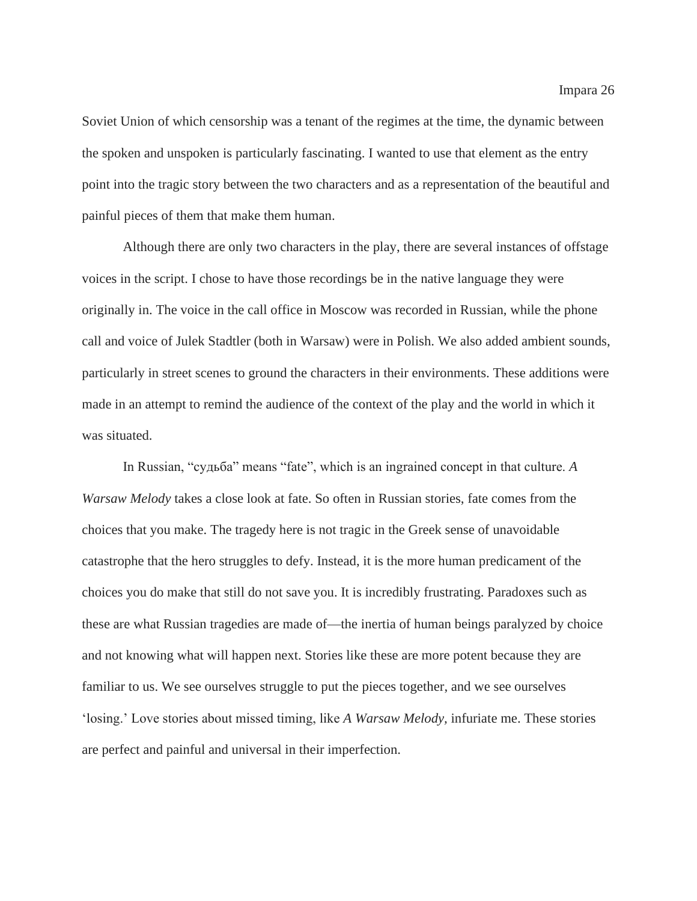Soviet Union of which censorship was a tenant of the regimes at the time, the dynamic between the spoken and unspoken is particularly fascinating. I wanted to use that element as the entry point into the tragic story between the two characters and as a representation of the beautiful and painful pieces of them that make them human.

Although there are only two characters in the play, there are several instances of offstage voices in the script. I chose to have those recordings be in the native language they were originally in. The voice in the call office in Moscow was recorded in Russian, while the phone call and voice of Julek Stadtler (both in Warsaw) were in Polish. We also added ambient sounds, particularly in street scenes to ground the characters in their environments. These additions were made in an attempt to remind the audience of the context of the play and the world in which it was situated.

In Russian, "судьба" means "fate", which is an ingrained concept in that culture. *A Warsaw Melody* takes a close look at fate. So often in Russian stories, fate comes from the choices that you make. The tragedy here is not tragic in the Greek sense of unavoidable catastrophe that the hero struggles to defy. Instead, it is the more human predicament of the choices you do make that still do not save you. It is incredibly frustrating. Paradoxes such as these are what Russian tragedies are made of—the inertia of human beings paralyzed by choice and not knowing what will happen next. Stories like these are more potent because they are familiar to us. We see ourselves struggle to put the pieces together, and we see ourselves 'losing.' Love stories about missed timing, like *A Warsaw Melody,* infuriate me. These stories are perfect and painful and universal in their imperfection.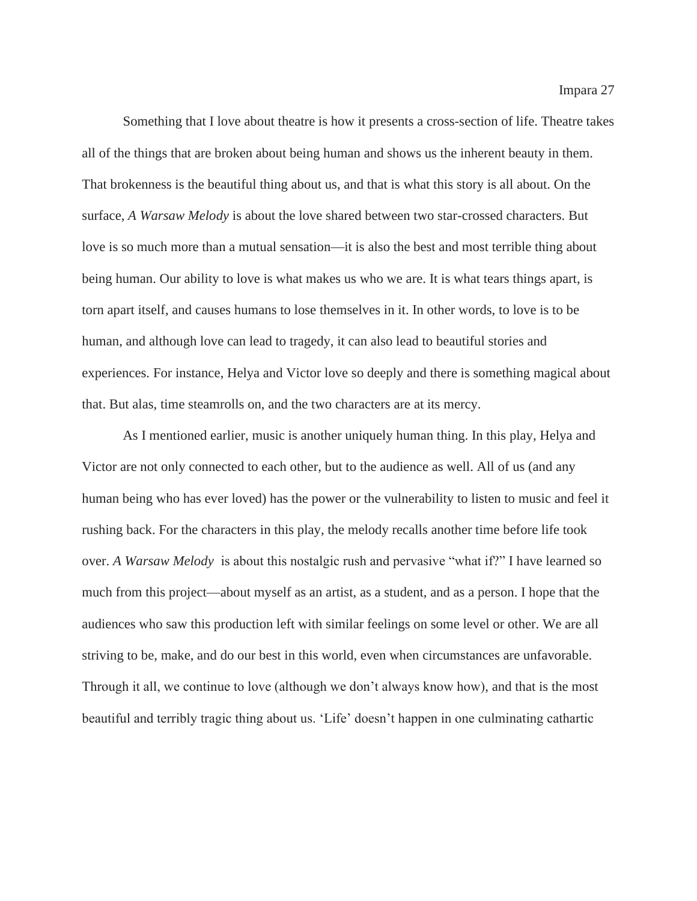Something that I love about theatre is how it presents a cross-section of life. Theatre takes all of the things that are broken about being human and shows us the inherent beauty in them. That brokenness is the beautiful thing about us, and that is what this story is all about. On the surface, *A Warsaw Melody* is about the love shared between two star-crossed characters. But love is so much more than a mutual sensation—it is also the best and most terrible thing about being human. Our ability to love is what makes us who we are. It is what tears things apart, is torn apart itself, and causes humans to lose themselves in it. In other words, to love is to be human, and although love can lead to tragedy, it can also lead to beautiful stories and experiences. For instance, Helya and Victor love so deeply and there is something magical about that. But alas, time steamrolls on, and the two characters are at its mercy.

As I mentioned earlier, music is another uniquely human thing. In this play, Helya and Victor are not only connected to each other, but to the audience as well. All of us (and any human being who has ever loved) has the power or the vulnerability to listen to music and feel it rushing back. For the characters in this play, the melody recalls another time before life took over. *A Warsaw Melody* is about this nostalgic rush and pervasive "what if?" I have learned so much from this project—about myself as an artist, as a student, and as a person. I hope that the audiences who saw this production left with similar feelings on some level or other. We are all striving to be, make, and do our best in this world, even when circumstances are unfavorable. Through it all, we continue to love (although we don't always know how), and that is the most beautiful and terribly tragic thing about us. 'Life' doesn't happen in one culminating cathartic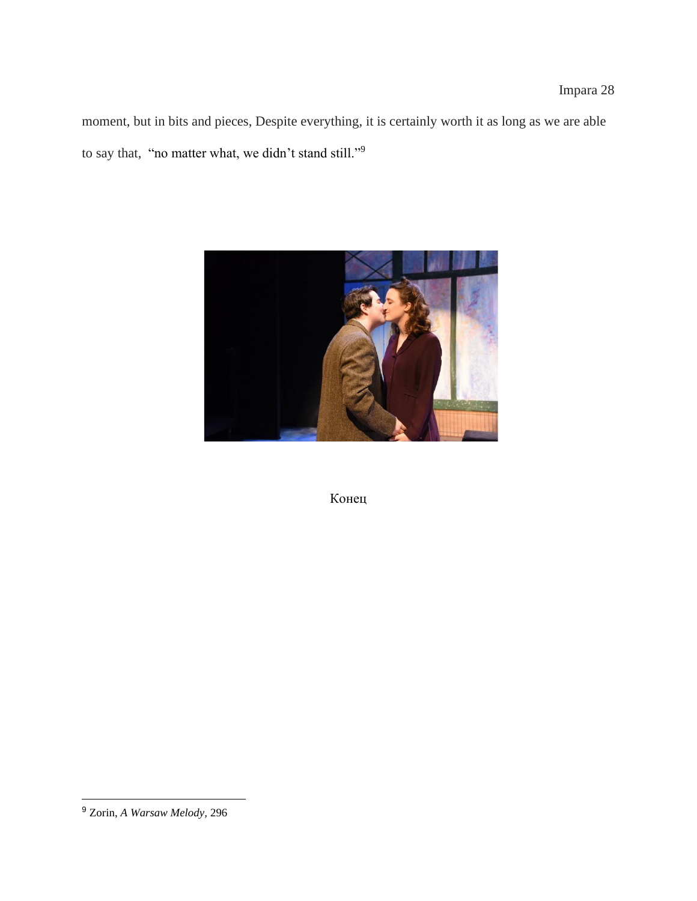moment, but in bits and pieces, Despite everything, it is certainly worth it as long as we are able to say that, "no matter what, we didn't stand still."<sup>9</sup>



Конец

<sup>9</sup> Zorin, *A Warsaw Melody,* 296